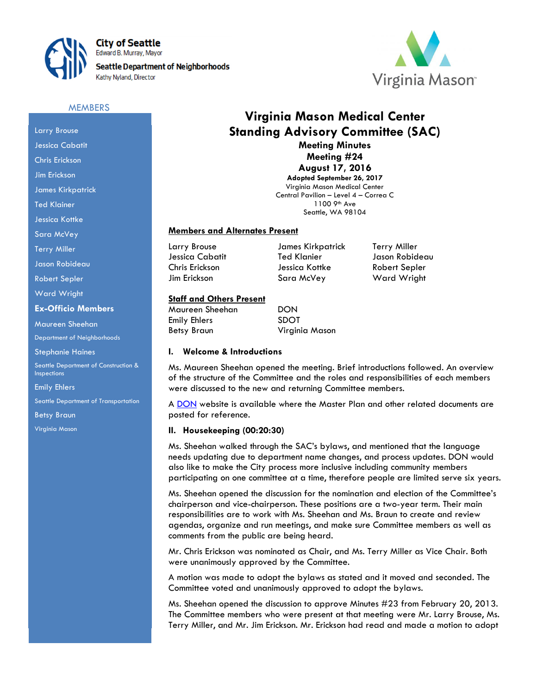

**City of Seattle** Edward B. Murray, Mayor **Seattle Department of Neighborhoods** Kathy Nyland, Director



#### **MEMBERS**

# Larry Brouse Jessica Cabatit Chris Erickson Jim Erickson James Kirkpatrick Ted Klainer Jessica Kottke Sara McVey Terry Miller Jason Robideau

Robert Sepler

Ward Wright

#### Ex-Officio Members

Maureen Sheehan

Department of Neighborhoods

Stephanie Haines

Seattle Department of Construction & Inspections

Emily Ehlers

Seattle Department of Transportation

Betsy Braun

Virginia Mason

## Virginia Mason Medical Center Standing Advisory Committee (SAC) Meeting Minutes

Meeting #24 August 17, 2016

Adopted September 26, 2017 Virginia Mason Medical Center Central Pavilion – Level 4 – Correa C 1100 9th Ave Seattle, WA 98104

## Members and Alternates Present

Larry Brouse James Kirkpatrick Terry Miller Jessica Cabatit Ted Klanier Jason Robideau Chris Erickson Jessica Kottke Robert Sepler Jim Erickson Sara McVey Ward Wright

## Staff and Others Present

Maureen Sheehan DON Emily Ehlers SDOT Betsy Braun Virginia Mason

#### I. Welcome & Introductions

Ms. Maureen Sheehan opened the meeting. Brief introductions followed. An overview of the structure of the Committee and the roles and responsibilities of each members were discussed to the new and returning Committee members.

A DON website is available where the Master Plan and other related documents are posted for reference.

#### II. Housekeeping (00:20:30)

Ms. Sheehan walked through the SAC's bylaws, and mentioned that the language needs updating due to department name changes, and process updates. DON would also like to make the City process more inclusive including community members participating on one committee at a time, therefore people are limited serve six years.

Ms. Sheehan opened the discussion for the nomination and election of the Committee's chairperson and vice-chairperson. These positions are a two-year term. Their main responsibilities are to work with Ms. Sheehan and Ms. Braun to create and review agendas, organize and run meetings, and make sure Committee members as well as comments from the public are being heard.

Mr. Chris Erickson was nominated as Chair, and Ms. Terry Miller as Vice Chair. Both were unanimously approved by the Committee.

A motion was made to adopt the bylaws as stated and it moved and seconded. The Committee voted and unanimously approved to adopt the bylaws.

Ms. Sheehan opened the discussion to approve Minutes #23 from February 20, 2013. The Committee members who were present at that meeting were Mr. Larry Brouse, Ms. Terry Miller, and Mr. Jim Erickson. Mr. Erickson had read and made a motion to adopt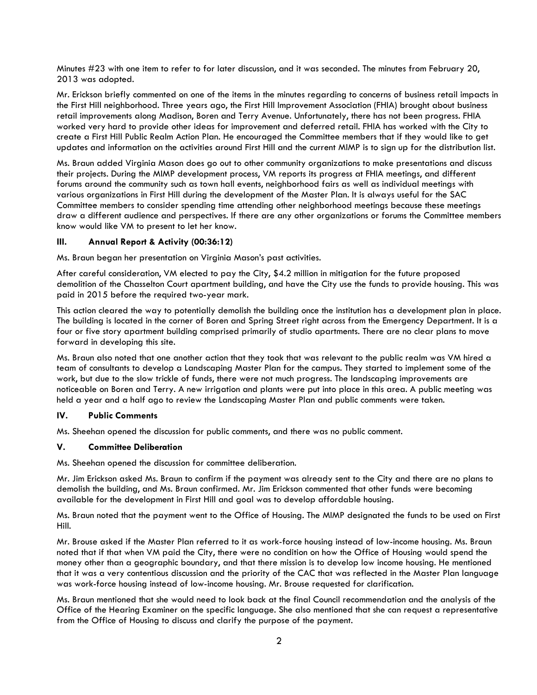Minutes #23 with one item to refer to for later discussion, and it was seconded. The minutes from February 20, 2013 was adopted.

Mr. Erickson briefly commented on one of the items in the minutes regarding to concerns of business retail impacts in the First Hill neighborhood. Three years ago, the First Hill Improvement Association (FHIA) brought about business retail improvements along Madison, Boren and Terry Avenue. Unfortunately, there has not been progress. FHIA worked very hard to provide other ideas for improvement and deferred retail. FHIA has worked with the City to create a First Hill Public Realm Action Plan. He encouraged the Committee members that if they would like to get updates and information on the activities around First Hill and the current MIMP is to sign up for the distribution list.

Ms. Braun added Virginia Mason does go out to other community organizations to make presentations and discuss their projects. During the MIMP development process, VM reports its progress at FHIA meetings, and different forums around the community such as town hall events, neighborhood fairs as well as individual meetings with various organizations in First Hill during the development of the Master Plan. It is always useful for the SAC Committee members to consider spending time attending other neighborhood meetings because these meetings draw a different audience and perspectives. If there are any other organizations or forums the Committee members know would like VM to present to let her know.

## III. Annual Report & Activity (00:36:12)

Ms. Braun began her presentation on Virginia Mason's past activities.

After careful consideration, VM elected to pay the City, \$4.2 million in mitigation for the future proposed demolition of the Chasselton Court apartment building, and have the City use the funds to provide housing. This was paid in 2015 before the required two-year mark.

This action cleared the way to potentially demolish the building once the institution has a development plan in place. The building is located in the corner of Boren and Spring Street right across from the Emergency Department. It is a four or five story apartment building comprised primarily of studio apartments. There are no clear plans to move forward in developing this site.

Ms. Braun also noted that one another action that they took that was relevant to the public realm was VM hired a team of consultants to develop a Landscaping Master Plan for the campus. They started to implement some of the work, but due to the slow trickle of funds, there were not much progress. The landscaping improvements are noticeable on Boren and Terry. A new irrigation and plants were put into place in this area. A public meeting was held a year and a half ago to review the Landscaping Master Plan and public comments were taken.

## IV. Public Comments

Ms. Sheehan opened the discussion for public comments, and there was no public comment.

#### V. Committee Deliberation

Ms. Sheehan opened the discussion for committee deliberation.

Mr. Jim Erickson asked Ms. Braun to confirm if the payment was already sent to the City and there are no plans to demolish the building, and Ms. Braun confirmed. Mr. Jim Erickson commented that other funds were becoming available for the development in First Hill and goal was to develop affordable housing.

Ms. Braun noted that the payment went to the Office of Housing. The MIMP designated the funds to be used on First Hill.

Mr. Brouse asked if the Master Plan referred to it as work-force housing instead of low-income housing. Ms. Braun noted that if that when VM paid the City, there were no condition on how the Office of Housing would spend the money other than a geographic boundary, and that there mission is to develop low income housing. He mentioned that it was a very contentious discussion and the priority of the CAC that was reflected in the Master Plan language was work-force housing instead of low-income housing. Mr. Brouse requested for clarification.

Ms. Braun mentioned that she would need to look back at the final Council recommendation and the analysis of the Office of the Hearing Examiner on the specific language. She also mentioned that she can request a representative from the Office of Housing to discuss and clarify the purpose of the payment.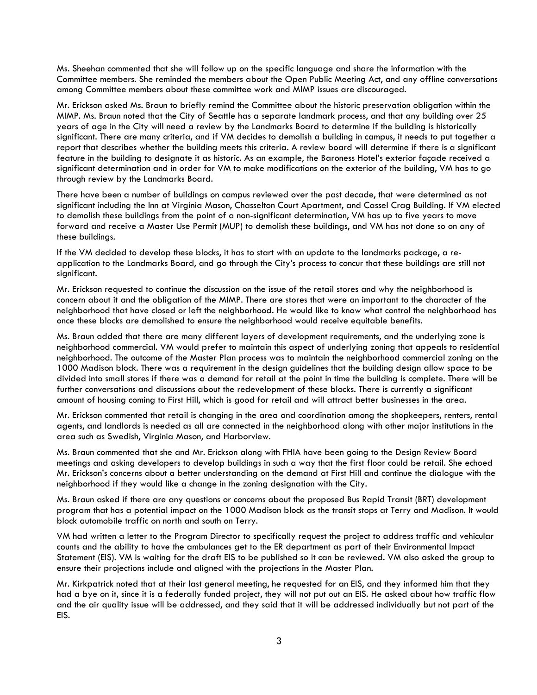Ms. Sheehan commented that she will follow up on the specific language and share the information with the Committee members. She reminded the members about the Open Public Meeting Act, and any offline conversations among Committee members about these committee work and MIMP issues are discouraged.

Mr. Erickson asked Ms. Braun to briefly remind the Committee about the historic preservation obligation within the MIMP. Ms. Braun noted that the City of Seattle has a separate landmark process, and that any building over 25 years of age in the City will need a review by the Landmarks Board to determine if the building is historically significant. There are many criteria, and if VM decides to demolish a building in campus, it needs to put together a report that describes whether the building meets this criteria. A review board will determine if there is a significant feature in the building to designate it as historic. As an example, the Baroness Hotel's exterior façade received a significant determination and in order for VM to make modifications on the exterior of the building, VM has to go through review by the Landmarks Board.

There have been a number of buildings on campus reviewed over the past decade, that were determined as not significant including the Inn at Virginia Mason, Chasselton Court Apartment, and Cassel Crag Building. If VM elected to demolish these buildings from the point of a non-significant determination, VM has up to five years to move forward and receive a Master Use Permit (MUP) to demolish these buildings, and VM has not done so on any of these buildings.

If the VM decided to develop these blocks, it has to start with an update to the landmarks package, a reapplication to the Landmarks Board, and go through the City's process to concur that these buildings are still not significant.

Mr. Erickson requested to continue the discussion on the issue of the retail stores and why the neighborhood is concern about it and the obligation of the MIMP. There are stores that were an important to the character of the neighborhood that have closed or left the neighborhood. He would like to know what control the neighborhood has once these blocks are demolished to ensure the neighborhood would receive equitable benefits.

Ms. Braun added that there are many different layers of development requirements, and the underlying zone is neighborhood commercial. VM would prefer to maintain this aspect of underlying zoning that appeals to residential neighborhood. The outcome of the Master Plan process was to maintain the neighborhood commercial zoning on the 1000 Madison block. There was a requirement in the design guidelines that the building design allow space to be divided into small stores if there was a demand for retail at the point in time the building is complete. There will be further conversations and discussions about the redevelopment of these blocks. There is currently a significant amount of housing coming to First Hill, which is good for retail and will attract better businesses in the area.

Mr. Erickson commented that retail is changing in the area and coordination among the shopkeepers, renters, rental agents, and landlords is needed as all are connected in the neighborhood along with other major institutions in the area such as Swedish, Virginia Mason, and Harborview.

Ms. Braun commented that she and Mr. Erickson along with FHIA have been going to the Design Review Board meetings and asking developers to develop buildings in such a way that the first floor could be retail. She echoed Mr. Erickson's concerns about a better understanding on the demand at First Hill and continue the dialogue with the neighborhood if they would like a change in the zoning designation with the City.

Ms. Braun asked if there are any questions or concerns about the proposed Bus Rapid Transit (BRT) development program that has a potential impact on the 1000 Madison block as the transit stops at Terry and Madison. It would block automobile traffic on north and south on Terry.

VM had written a letter to the Program Director to specifically request the project to address traffic and vehicular counts and the ability to have the ambulances get to the ER department as part of their Environmental Impact Statement (EIS). VM is waiting for the draft EIS to be published so it can be reviewed. VM also asked the group to ensure their projections include and aligned with the projections in the Master Plan.

Mr. Kirkpatrick noted that at their last general meeting, he requested for an EIS, and they informed him that they had a bye on it, since it is a federally funded project, they will not put out an EIS. He asked about how traffic flow and the air quality issue will be addressed, and they said that it will be addressed individually but not part of the EIS.